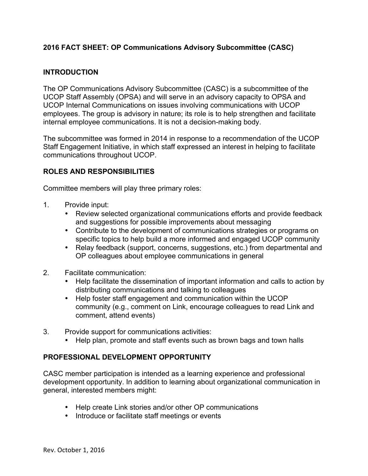# **2016 FACT SHEET: OP Communications Advisory Subcommittee (CASC)**

### **INTRODUCTION**

The OP Communications Advisory Subcommittee (CASC) is a subcommittee of the UCOP Staff Assembly (OPSA) and will serve in an advisory capacity to OPSA and UCOP Internal Communications on issues involving communications with UCOP employees. The group is advisory in nature; its role is to help strengthen and facilitate internal employee communications. It is not a decision-making body.

The subcommittee was formed in 2014 in response to a recommendation of the UCOP Staff Engagement Initiative, in which staff expressed an interest in helping to facilitate communications throughout UCOP.

### **ROLES AND RESPONSIBILITIES**

Committee members will play three primary roles:

- 1. Provide input:
	- Review selected organizational communications efforts and provide feedback and suggestions for possible improvements about messaging
	- Contribute to the development of communications strategies or programs on specific topics to help build a more informed and engaged UCOP community
	- Relay feedback (support, concerns, suggestions, etc.) from departmental and OP colleagues about employee communications in general
- 2. Facilitate communication:
	- Help facilitate the dissemination of important information and calls to action by distributing communications and talking to colleagues
	- Help foster staff engagement and communication within the UCOP community (e.g., comment on Link, encourage colleagues to read Link and comment, attend events)
- 3. Provide support for communications activities:
	- Help plan, promote and staff events such as brown bags and town halls

### **PROFESSIONAL DEVELOPMENT OPPORTUNITY**

CASC member participation is intended as a learning experience and professional development opportunity. In addition to learning about organizational communication in general, interested members might:

- Help create Link stories and/or other OP communications
- Introduce or facilitate staff meetings or events